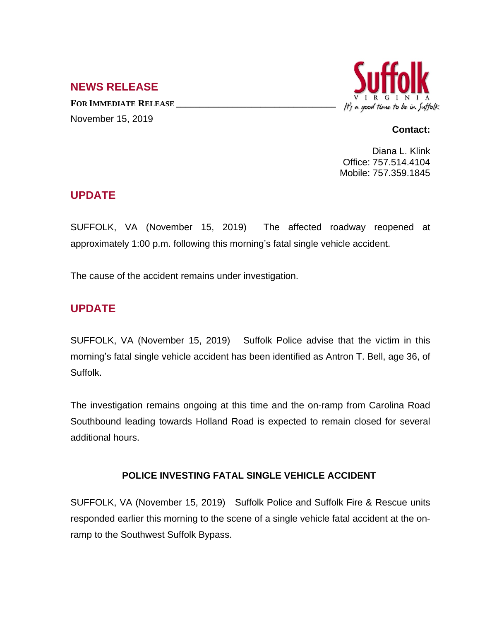## **NEWS RELEASE**

**FOR IMMEDIATE RELEASE \_\_\_\_\_\_\_\_\_\_\_\_\_\_\_\_\_\_\_\_\_\_\_\_\_\_\_\_\_\_\_\_\_\_** November 15, 2019



#### **Contact:**

Diana L. Klink Office: 757.514.4104 Mobile: 757.359.1845

## **UPDATE**

SUFFOLK, VA (November 15, 2019) The affected roadway reopened at approximately 1:00 p.m. following this morning's fatal single vehicle accident.

The cause of the accident remains under investigation.

# **UPDATE**

SUFFOLK, VA (November 15, 2019) Suffolk Police advise that the victim in this morning's fatal single vehicle accident has been identified as Antron T. Bell, age 36, of Suffolk.

The investigation remains ongoing at this time and the on-ramp from Carolina Road Southbound leading towards Holland Road is expected to remain closed for several additional hours.

#### **POLICE INVESTING FATAL SINGLE VEHICLE ACCIDENT**

SUFFOLK, VA (November 15, 2019) Suffolk Police and Suffolk Fire & Rescue units responded earlier this morning to the scene of a single vehicle fatal accident at the onramp to the Southwest Suffolk Bypass.